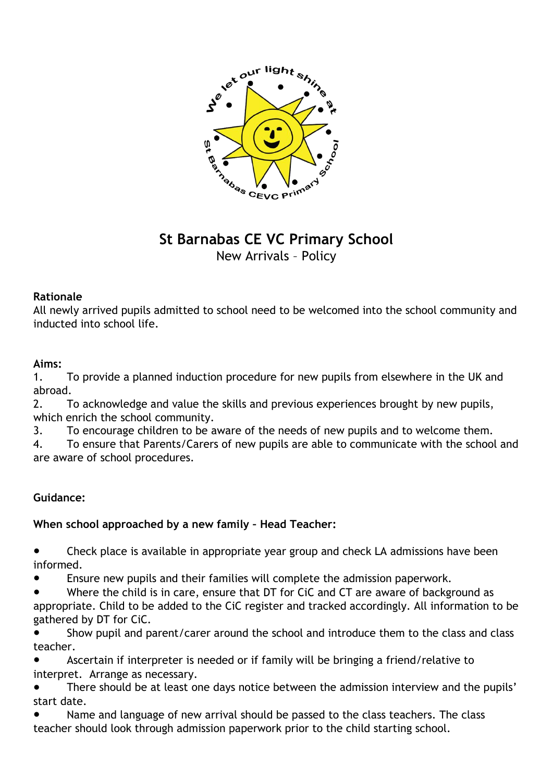

# **St Barnabas CE VC Primary School** New Arrivals – Policy

# **Rationale**

All newly arrived pupils admitted to school need to be welcomed into the school community and inducted into school life.

# **Aims:**

1. To provide a planned induction procedure for new pupils from elsewhere in the UK and abroad.

2. To acknowledge and value the skills and previous experiences brought by new pupils, which enrich the school community.

3. To encourage children to be aware of the needs of new pupils and to welcome them.

4. To ensure that Parents/Carers of new pupils are able to communicate with the school and are aware of school procedures.

# **Guidance:**

# **When school approached by a new family – Head Teacher:**

Check place is available in appropriate year group and check LA admissions have been informed.

- Ensure new pupils and their families will complete the admission paperwork.
- Where the child is in care, ensure that DT for CiC and CT are aware of background as appropriate. Child to be added to the CiC register and tracked accordingly. All information to be gathered by DT for CiC.
- Show pupil and parent/carer around the school and introduce them to the class and class teacher.
- Ascertain if interpreter is needed or if family will be bringing a friend/relative to interpret. Arrange as necessary.
- There should be at least one days notice between the admission interview and the pupils' start date.
- Name and language of new arrival should be passed to the class teachers. The class teacher should look through admission paperwork prior to the child starting school.